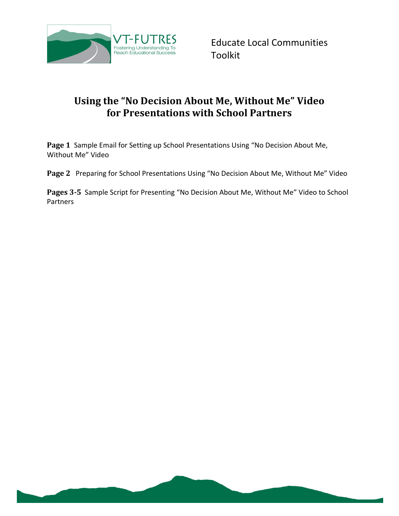

# **Using the "No Decision About Me, Without Me" Video for Presentations with School Partners**

**Page 1** Sample Email for Setting up School Presentations Using "No Decision About Me, Without Me" Video

**Page 2** Preparing for School Presentations Using "No Decision About Me, Without Me" Video

**Pages 3-5** Sample Script for Presenting "No Decision About Me, Without Me" Video to School Partners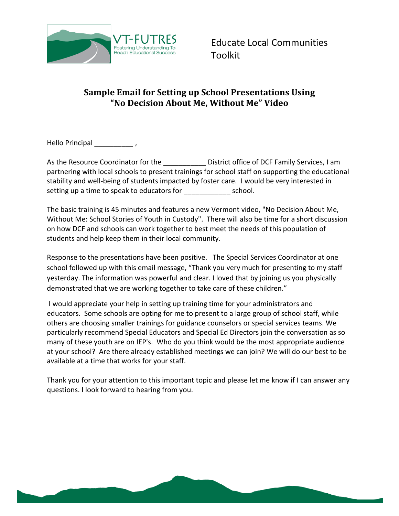

## **Sample Email for Setting up School Presentations Using "No Decision About Me, Without Me" Video**

Hello Principal \_\_\_\_\_\_\_\_\_\_\_\_,

As the Resource Coordinator for the **National Service Coordinator for the United Services**, I am partnering with local schools to present trainings for school staff on supporting the educational stability and well-being of students impacted by foster care. I would be very interested in setting up a time to speak to educators for example the school.

The basic training is 45 minutes and features a new Vermont video, "No Decision About Me, Without Me: School Stories of Youth in Custody". There will also be time for a short discussion on how DCF and schools can work together to best meet the needs of this population of students and help keep them in their local community.

Response to the presentations have been positive. The Special Services Coordinator at one school followed up with this email message, "Thank you very much for presenting to my staff yesterday. The information was powerful and clear. I loved that by joining us you physically demonstrated that we are working together to take care of these children."

I would appreciate your help in setting up training time for your administrators and educators. Some schools are opting for me to present to a large group of school staff, while others are choosing smaller trainings for guidance counselors or special services teams. We particularly recommend Special Educators and Special Ed Directors join the conversation as so many of these youth are on IEP's. Who do you think would be the most appropriate audience at your school? Are there already established meetings we can join? We will do our best to be available at a time that works for your staff.

Thank you for your attention to this important topic and please let me know if I can answer any questions. I look forward to hearing from you.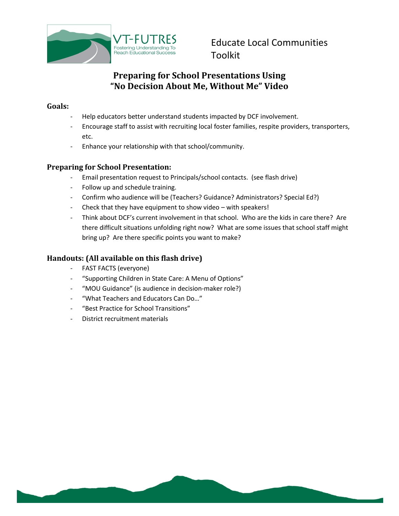

## **Preparing for School Presentations Using "No Decision About Me, Without Me" Video**

### **Goals:**

- Help educators better understand students impacted by DCF involvement.
- Encourage staff to assist with recruiting local foster families, respite providers, transporters, etc.
- Enhance your relationship with that school/community.

### **Preparing for School Presentation:**

- Email presentation request to Principals/school contacts. (see flash drive)
- Follow up and schedule training.
- Confirm who audience will be (Teachers? Guidance? Administrators? Special Ed?)
- Check that they have equipment to show video with speakers!
- Think about DCF's current involvement in that school. Who are the kids in care there? Are there difficult situations unfolding right now? What are some issues that school staff might bring up? Are there specific points you want to make?

## **Handouts: (All available on this flash drive)**

- FAST FACTS (everyone)
- "Supporting Children in State Care: A Menu of Options"
- "MOU Guidance" (is audience in decision-maker role?)
- "What Teachers and Educators Can Do…"
- "Best Practice for School Transitions"
- District recruitment materials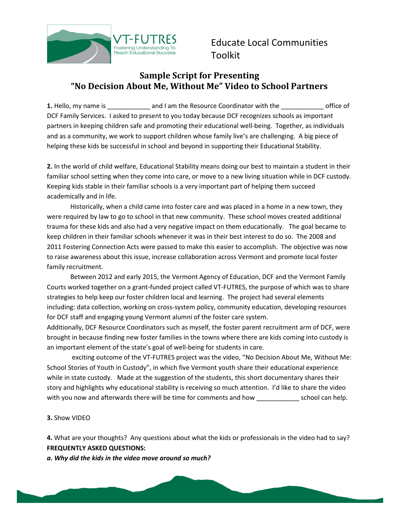

## **Sample Script for Presenting "No Decision About Me, Without Me" Video to School Partners**

**1.** Hello, my name is **and I am the Resource Coordinator with the coordinator with the coordinator with the coordinator with the coordinator with the coordinator with the coordinator with the coordinator with the coordina** DCF Family Services. I asked to present to you today because DCF recognizes schools as important partners in keeping children safe and promoting their educational well-being. Together, as individuals and as a community, we work to support children whose family live's are challenging. A big piece of helping these kids be successful in school and beyond in supporting their Educational Stability.

**2.** In the world of child welfare, Educational Stability means doing our best to maintain a student in their familiar school setting when they come into care, or move to a new living situation while in DCF custody. Keeping kids stable in their familiar schools is a very important part of helping them succeed academically and in life.

Historically, when a child came into foster care and was placed in a home in a new town, they were required by law to go to school in that new community. These school moves created additional trauma for these kids and also had a very negative impact on them educationally. The goal became to keep children in their familiar schools whenever it was in their best interest to do so. The 2008 and 2011 Fostering Connection Acts were passed to make this easier to accomplish. The objective was now to raise awareness about this issue, increase collaboration across Vermont and promote local foster family recruitment.

Between 2012 and early 2015, the Vermont Agency of Education, DCF and the Vermont Family Courts worked together on a grant-funded project called VT-FUTRES, the purpose of which was to share strategies to help keep our foster children local and learning. The project had several elements including: data collection, working on cross-system policy, community education, developing resources for DCF staff and engaging young Vermont alumni of the foster care system.

Additionally, DCF Resource Coordinators such as myself, the foster parent recruitment arm of DCF, were brought in because finding new foster families in the towns where there are kids coming into custody is an important element of the state's goal of well-being for students in care.

exciting outcome of the VT-FUTRES project was the video, "No Decision About Me, Without Me: School Stories of Youth in Custody", in which five Vermont youth share their educational experience while in state custody. Made at the suggestion of the students, this short documentary shares their story and highlights why educational stability is receiving so much attention. I'd like to share the video with you now and afterwards there will be time for comments and how \_\_\_\_\_\_\_\_\_\_\_\_\_\_ school can help.

#### **3.** Show VIDEO

**4.** What are your thoughts? Any questions about what the kids or professionals in the video had to say? **FREQUENTLY ASKED QUESTIONS:**

*a. Why did the kids in the video move around so much?*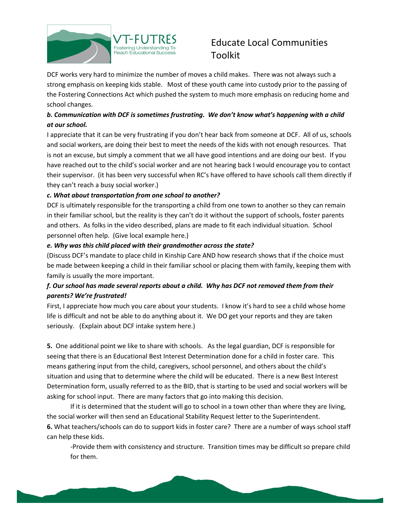

DCF works very hard to minimize the number of moves a child makes. There was not always such a strong emphasis on keeping kids stable. Most of these youth came into custody prior to the passing of the Fostering Connections Act which pushed the system to much more emphasis on reducing home and school changes.

## *b. Communication with DCF is sometimes frustrating. We don't know what's happening with a child at our school.*

I appreciate that it can be very frustrating if you don't hear back from someone at DCF. All of us, schools and social workers, are doing their best to meet the needs of the kids with not enough resources. That is not an excuse, but simply a comment that we all have good intentions and are doing our best. If you have reached out to the child's social worker and are not hearing back I would encourage you to contact their supervisor. (it has been very successful when RC's have offered to have schools call them directly if they can't reach a busy social worker.)

### *c. What about transportation from one school to another?*

DCF is ultimately responsible for the transporting a child from one town to another so they can remain in their familiar school, but the reality is they can't do it without the support of schools, foster parents and others. As folks in the video described, plans are made to fit each individual situation. School personnel often help. (Give local example here.)

#### *e. Why was this child placed with their grandmother across the state?*

(Discuss DCF's mandate to place child in Kinship Care AND how research shows that if the choice must be made between keeping a child in their familiar school or placing them with family, keeping them with family is usually the more important.

## *f. Our school has made several reports about a child. Why has DCF not removed them from their parents? We're frustrated!*

First, I appreciate how much you care about your students. I know it's hard to see a child whose home life is difficult and not be able to do anything about it. We DO get your reports and they are taken seriously. (Explain about DCF intake system here.)

**5.** One additional point we like to share with schools. As the legal guardian, DCF is responsible for seeing that there is an Educational Best Interest Determination done for a child in foster care. This means gathering input from the child, caregivers, school personnel, and others about the child's situation and using that to determine where the child will be educated. There is a new Best Interest Determination form, usually referred to as the BID, that is starting to be used and social workers will be asking for school input. There are many factors that go into making this decision.

If it is determined that the student will go to school in a town other than where they are living, the social worker will then send an Educational Stability Request letter to the Superintendent. **6.** What teachers/schools can do to support kids in foster care? There are a number of ways school staff can help these kids.

-Provide them with consistency and structure. Transition times may be difficult so prepare child for them.